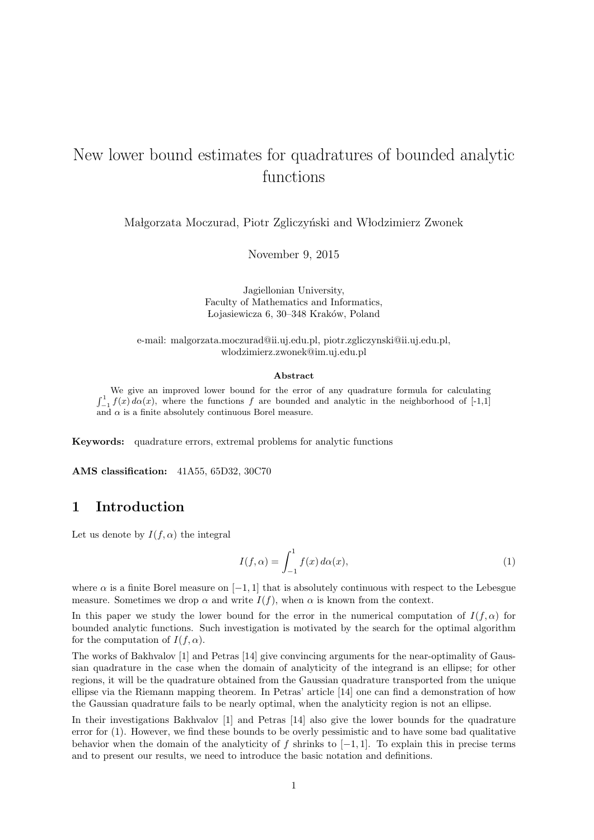# New lower bound estimates for quadratures of bounded analytic functions

Małgorzata Moczurad, Piotr Zgliczyński and Włodzimierz Zwonek

November 9, 2015

Jagiellonian University, Faculty of Mathematics and Informatics, Lojasiewicza 6, 30–348 Kraków, Poland

e-mail: malgorzata.moczurad@ii.uj.edu.pl, piotr.zgliczynski@ii.uj.edu.pl, wlodzimierz.zwonek@im.uj.edu.pl

#### **Abstract**

We give an improved lower bound for the error of any quadrature formula for calculating  $\int_{-1}^{1} f(x) d\alpha(x)$ , where the functions *f* are bounded and analytic in the neighborhood of [-1,1] and  $\alpha$  is a finite absolutely continuous Borel measure.

**Keywords:** quadrature errors, extremal problems for analytic functions

**AMS classification:** 41A55, 65D32, 30C70

## **1 Introduction**

Let us denote by  $I(f, \alpha)$  the integral

$$
I(f, \alpha) = \int_{-1}^{1} f(x) d\alpha(x), \qquad (1)
$$

where  $\alpha$  is a finite Borel measure on  $[-1, 1]$  that is absolutely continuous with respect to the Lebesgue measure. Sometimes we drop  $\alpha$  and write  $I(f)$ , when  $\alpha$  is known from the context.

In this paper we study the lower bound for the error in the numerical computation of  $I(f,\alpha)$  for bounded analytic functions. Such investigation is motivated by the search for the optimal algorithm for the computation of  $I(f, \alpha)$ .

The works of Bakhvalov [1] and Petras [14] give convincing arguments for the near-optimality of Gaussian quadrature in the case when the domain of analyticity of the integrand is an ellipse; for other regions, it will be the quadrature obtained from the Gaussian quadrature transported from the unique ellipse via the Riemann mapping theorem. In Petras' article [14] one can find a demonstration of how the Gaussian quadrature fails to be nearly optimal, when the analyticity region is not an ellipse.

In their investigations Bakhvalov [1] and Petras [14] also give the lower bounds for the quadrature error for (1). However, we find these bounds to be overly pessimistic and to have some bad qualitative behavior when the domain of the analyticity of *f* shrinks to [*−*1*,* 1]. To explain this in precise terms and to present our results, we need to introduce the basic notation and definitions.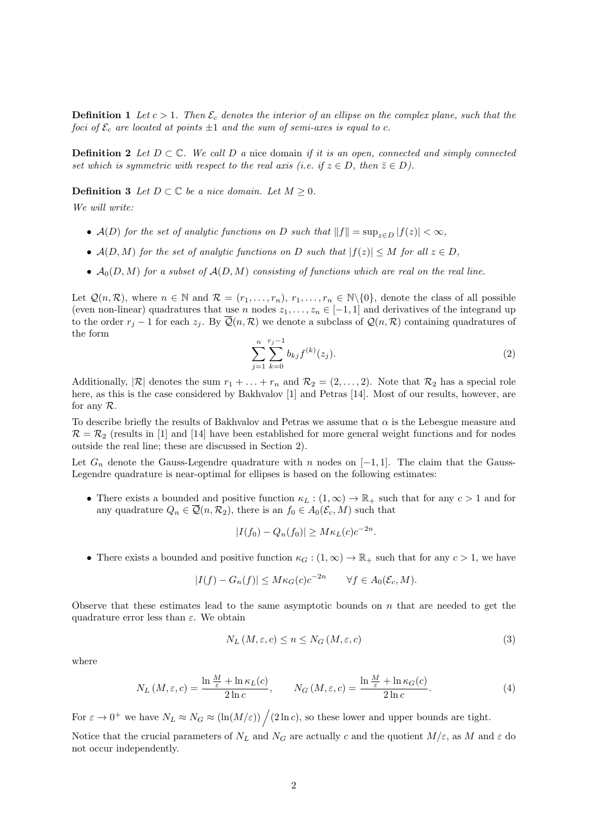**Definition 1** *Let*  $c > 1$ *. Then*  $\mathcal{E}_c$  *denotes the interior of an ellipse on the complex plane, such that the foci of*  $\mathcal{E}_c$  *are located at points*  $\pm 1$  *and the sum of semi-axes is equal to c.* 

**Definition 2** *Let*  $D \subset \mathbb{C}$ *. We call*  $D$  *a* nice domain *if it is an open, connected and simply connected set which is symmetric with respect to the real axis (i.e. if*  $z \in D$ , then  $\overline{z} \in D$ ).

**Definition 3** *Let*  $D \subset \mathbb{C}$  *be a nice domain. Let*  $M \geq 0$ *.* 

*We will write:*

- *• A*(*D*) *for the set of analytic functions on D such that ∥f∥* = sup*<sup>z</sup>∈<sup>D</sup> |f*(*z*)*| < ∞,*
- $A(D, M)$  *for the set of analytic functions on D such that*  $|f(z)| \leq M$  *for all*  $z \in D$ *,*
- $A_0(D, M)$  *for a subset of*  $A(D, M)$  *consisting of functions which are real on the real line.*

Let  $\mathcal{Q}(n,\mathcal{R})$ , where  $n \in \mathbb{N}$  and  $\mathcal{R} = (r_1,\ldots,r_n), r_1,\ldots,r_n \in \mathbb{N}\backslash\{0\}$ , denote the class of all possible (even non-linear) quadratures that use *n* nodes  $z_1, \ldots, z_n \in [-1, 1]$  and derivatives of the integrand up to the order  $r_j - 1$  for each  $z_j$ . By  $\overline{Q}(n, \mathcal{R})$  we denote a subclass of  $\mathcal{Q}(n, \mathcal{R})$  containing quadratures of the form

$$
\sum_{j=1}^{n} \sum_{k=0}^{r_j-1} b_{kj} f^{(k)}(z_j). \tag{2}
$$

Additionally,  $|\mathcal{R}|$  denotes the sum  $r_1 + \ldots + r_n$  and  $\mathcal{R}_2 = (2, \ldots, 2)$ . Note that  $\mathcal{R}_2$  has a special role here, as this is the case considered by Bakhvalov [1] and Petras [14]. Most of our results, however, are for any *R*.

To describe briefly the results of Bakhvalov and Petras we assume that *α* is the Lebesgue measure and  $\mathcal{R} = \mathcal{R}_2$  (results in [1] and [14] have been established for more general weight functions and for nodes outside the real line; these are discussed in Section 2).

Let  $G_n$  denote the Gauss-Legendre quadrature with *n* nodes on [−1, 1]. The claim that the Gauss-Legendre quadrature is near-optimal for ellipses is based on the following estimates:

• There exists a bounded and positive function  $\kappa_L : (1, \infty) \to \mathbb{R}_+$  such that for any  $c > 1$  and for any quadrature  $Q_n \in \mathcal{Q}(n, \mathcal{R}_2)$ , there is an  $f_0 \in A_0(\mathcal{E}_c, M)$  such that

$$
|I(f_0) - Q_n(f_0)| \ge M\kappa_L(c)c^{-2n}.
$$

• There exists a bounded and positive function  $\kappa_G$  :  $(1,\infty) \to \mathbb{R}_+$  such that for any  $c > 1$ , we have

$$
|I(f) - G_n(f)| \le M\kappa_G(c)c^{-2n} \qquad \forall f \in A_0(\mathcal{E}_c, M).
$$

Observe that these estimates lead to the same asymptotic bounds on *n* that are needed to get the quadrature error less than *ε*. We obtain

$$
N_L\left(M,\varepsilon,c\right) \le n \le N_G\left(M,\varepsilon,c\right) \tag{3}
$$

where

$$
N_L(M,\varepsilon,c) = \frac{\ln \frac{M}{\varepsilon} + \ln \kappa_L(c)}{2\ln c}, \qquad N_G(M,\varepsilon,c) = \frac{\ln \frac{M}{\varepsilon} + \ln \kappa_G(c)}{2\ln c}.
$$
 (4)

For  $\varepsilon \to 0^+$  we have  $N_L \approx N_G \approx (\ln(M/\varepsilon)) / (2 \ln c)$ , so these lower and upper bounds are tight.

Notice that the crucial parameters of  $N_L$  and  $N_G$  are actually *c* and the quotient  $M/\varepsilon$ , as M and  $\varepsilon$  do not occur independently.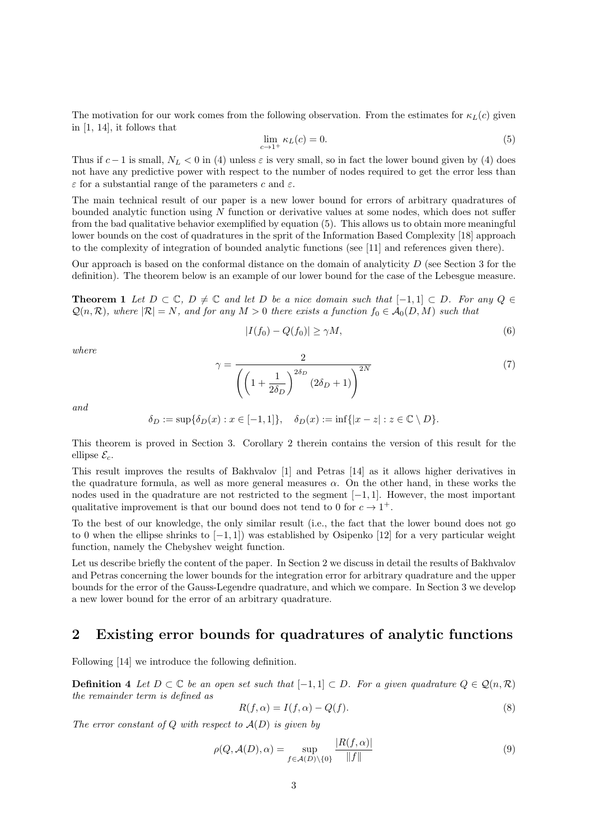The motivation for our work comes from the following observation. From the estimates for  $\kappa_L(c)$  given in [1, 14], it follows that

$$
\lim_{c \to 1^+} \kappa_L(c) = 0. \tag{5}
$$

Thus if  $c - 1$  is small,  $N_L < 0$  in (4) unless  $\varepsilon$  is very small, so in fact the lower bound given by (4) does not have any predictive power with respect to the number of nodes required to get the error less than *ε* for a substantial range of the parameters *c* and *ε*.

The main technical result of our paper is a new lower bound for errors of arbitrary quadratures of bounded analytic function using *N* function or derivative values at some nodes, which does not suffer from the bad qualitative behavior exemplified by equation (5). This allows us to obtain more meaningful lower bounds on the cost of quadratures in the sprit of the Information Based Complexity [18] approach to the complexity of integration of bounded analytic functions (see [11] and references given there).

Our approach is based on the conformal distance on the domain of analyticity *D* (see Section 3 for the definition). The theorem below is an example of our lower bound for the case of the Lebesgue measure.

**Theorem 1** Let  $D \subset \mathbb{C}$ ,  $D \neq \mathbb{C}$  and let  $D$  be a nice domain such that  $[-1,1] \subset D$ *. For any*  $Q \in$  $Q(n, \mathcal{R})$ *, where*  $|\mathcal{R}| = N$ *, and for any*  $M > 0$  *there exists a function*  $f_0 \in \mathcal{A}_0(D, M)$  *such that* 

$$
|I(f_0) - Q(f_0)| \ge \gamma M,\tag{6}
$$

*where*

$$
\gamma = \frac{2}{\left(\left(1 + \frac{1}{2\delta_D}\right)^{2\delta_D} (2\delta_D + 1)\right)^{2N}}
$$
\n(7)

*and*

$$
\delta_D := \sup \{ \delta_D(x) : x \in [-1, 1] \}, \quad \delta_D(x) := \inf \{ |x - z| : z \in \mathbb{C} \setminus D \}.
$$

This theorem is proved in Section 3. Corollary 2 therein contains the version of this result for the ellipse  $\mathcal{E}_c$ .

This result improves the results of Bakhvalov [1] and Petras [14] as it allows higher derivatives in the quadrature formula, as well as more general measures  $\alpha$ . On the other hand, in these works the nodes used in the quadrature are not restricted to the segment [*−*1*,* 1]. However, the most important qualitative improvement is that our bound does not tend to 0 for  $c \to 1^+$ .

To the best of our knowledge, the only similar result (i.e., the fact that the lower bound does not go to 0 when the ellipse shrinks to [*−*1*,* 1]) was established by Osipenko [12] for a very particular weight function, namely the Chebyshev weight function.

Let us describe briefly the content of the paper. In Section 2 we discuss in detail the results of Bakhvalov and Petras concerning the lower bounds for the integration error for arbitrary quadrature and the upper bounds for the error of the Gauss-Legendre quadrature, and which we compare. In Section 3 we develop a new lower bound for the error of an arbitrary quadrature.

### **2 Existing error bounds for quadratures of analytic functions**

Following [14] we introduce the following definition.

**Definition 4** *Let*  $D \subset \mathbb{C}$  *be an open set such that*  $[-1, 1] \subset D$ *. For a given quadrature*  $Q \in \mathcal{Q}(n, \mathcal{R})$ *the remainder term is defined as*

$$
R(f, \alpha) = I(f, \alpha) - Q(f). \tag{8}
$$

*The error constant of Q with respect to A*(*D*) *is given by*

$$
\rho(Q, \mathcal{A}(D), \alpha) = \sup_{f \in \mathcal{A}(D) \setminus \{0\}} \frac{|R(f, \alpha)|}{\|f\|} \tag{9}
$$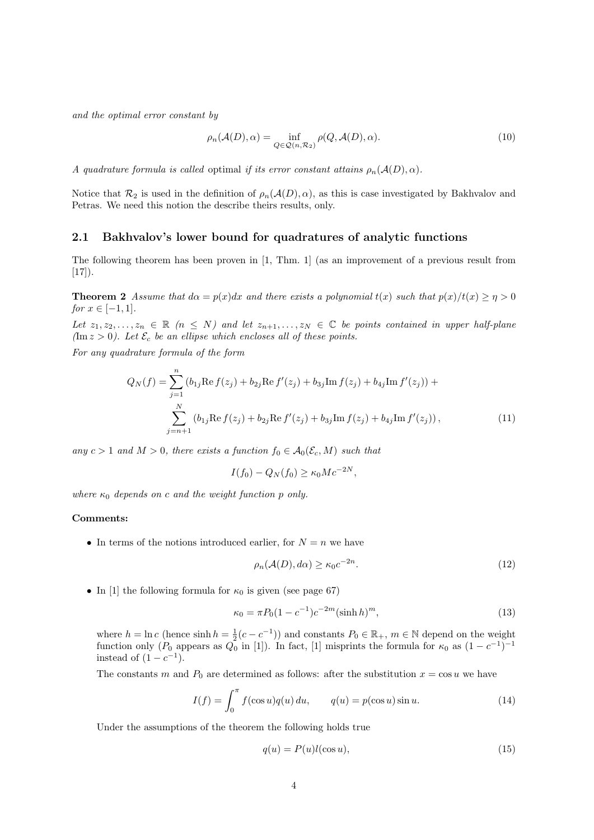*and the optimal error constant by*

$$
\rho_n(\mathcal{A}(D), \alpha) = \inf_{Q \in \mathcal{Q}(n, \mathcal{R}_2)} \rho(Q, \mathcal{A}(D), \alpha).
$$
\n(10)

*A quadrature formula is called optimal <i>if its error constant attains*  $\rho_n(\mathcal{A}(D), \alpha)$ *.* 

Notice that  $\mathcal{R}_2$  is used in the definition of  $\rho_n(\mathcal{A}(D), \alpha)$ , as this is case investigated by Bakhvalov and Petras. We need this notion the describe theirs results, only.

#### **2.1 Bakhvalov's lower bound for quadratures of analytic functions**

The following theorem has been proven in [1, Thm. 1] (as an improvement of a previous result from  $[17]$ .

**Theorem 2** *Assume that*  $d\alpha = p(x)dx$  *and there exists a polynomial*  $t(x)$  *such that*  $p(x)/t(x) \geq \eta > 0$ *for*  $x \in [-1, 1]$ *.* 

*Let*  $z_1, z_2, \ldots, z_n \in \mathbb{R}$  ( $n \leq N$ ) and let  $z_{n+1}, \ldots, z_N \in \mathbb{C}$  be points contained in upper half-plane  $(\text{Im } z > 0)$ . Let  $\mathcal{E}_c$  *be an ellipse which encloses all of these points.* 

*For any quadrature formula of the form*

$$
Q_N(f) = \sum_{j=1}^n (b_{1j} \operatorname{Re} f(z_j) + b_{2j} \operatorname{Re} f'(z_j) + b_{3j} \operatorname{Im} f(z_j) + b_{4j} \operatorname{Im} f'(z_j)) + \sum_{j=n+1}^N (b_{1j} \operatorname{Re} f(z_j) + b_{2j} \operatorname{Re} f'(z_j) + b_{3j} \operatorname{Im} f(z_j) + b_{4j} \operatorname{Im} f'(z_j)),
$$
\n(11)

*any*  $c > 1$  *and*  $M > 0$ *, there exists a function*  $f_0 \in A_0(\mathcal{E}_c, M)$  *such that* 

$$
I(f_0) - Q_N(f_0) \ge \kappa_0 Mc^{-2N},
$$

*where*  $\kappa_0$  *depends on c and the weight function p only.* 

### **Comments:**

• In terms of the notions introduced earlier, for  $N = n$  we have

$$
\rho_n(\mathcal{A}(D), d\alpha) \ge \kappa_0 c^{-2n}.\tag{12}
$$

• In [1] the following formula for  $\kappa_0$  is given (see page 67)

$$
\kappa_0 = \pi P_0 (1 - c^{-1}) c^{-2m} (\sinh h)^m,
$$
\n(13)

where  $h = \ln c$  (hence sinh  $h = \frac{1}{2}(c - c^{-1})$ ) and constants  $P_0 \in \mathbb{R}_+$ ,  $m \in \mathbb{N}$  depend on the weight function only ( $P_0$  appears as  $Q_0$  in [1]). In fact, [1] misprints the formula for  $\kappa_0$  as  $(1 - c^{-1})^{-1}$ instead of  $(1 - c^{-1})$ .

The constants *m* and  $P_0$  are determined as follows: after the substitution  $x = \cos u$  we have

$$
I(f) = \int_0^\pi f(\cos u)q(u) du, \qquad q(u) = p(\cos u)\sin u.
$$
 (14)

Under the assumptions of the theorem the following holds true

$$
q(u) = P(u)l(\cos u),\tag{15}
$$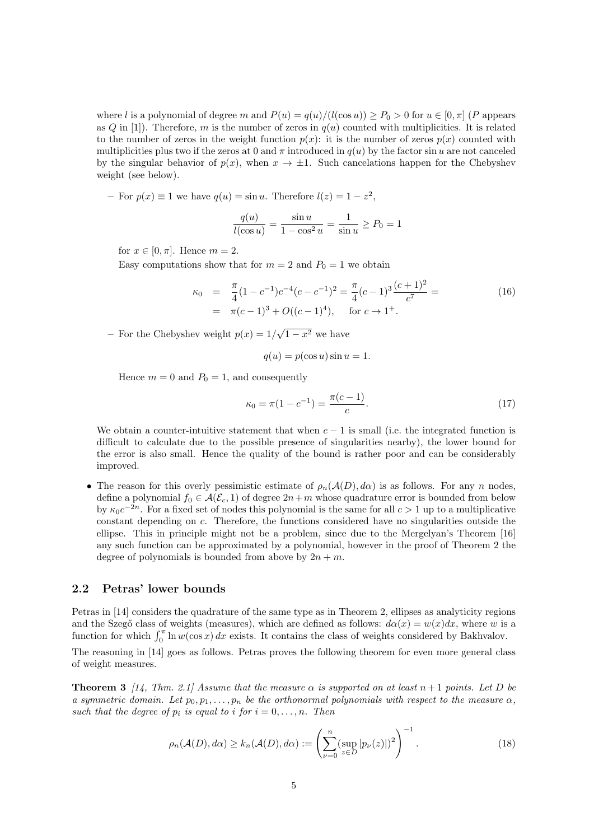where *l* is a polynomial of degree *m* and  $P(u) = q(u)/(l(\cos u)) \ge P_0 > 0$  for  $u \in [0, \pi]$  (*P* appears as  $Q$  in [1]). Therefore,  $m$  is the number of zeros in  $q(u)$  counted with multiplicities. It is related to the number of zeros in the weight function  $p(x)$ : it is the number of zeros  $p(x)$  counted with multiplicities plus two if the zeros at 0 and  $\pi$  introduced in  $q(u)$  by the factor sin *u* are not canceled by the singular behavior of  $p(x)$ , when  $x \to \pm 1$ . Such cancelations happen for the Chebyshev weight (see below).

 $-$  For  $p(x) \equiv 1$  we have  $q(u) = \sin u$ . Therefore  $l(z) = 1 - z^2$ ,

$$
\frac{q(u)}{l(\cos u)} = \frac{\sin u}{1 - \cos^2 u} = \frac{1}{\sin u} \ge P_0 = 1
$$

for  $x \in [0, \pi]$ . Hence  $m = 2$ .

Easy computations show that for  $m = 2$  and  $P_0 = 1$  we obtain

$$
\kappa_0 = \frac{\pi}{4}(1 - c^{-1})c^{-4}(c - c^{-1})^2 = \frac{\pi}{4}(c - 1)^3 \frac{(c + 1)^2}{c^7} =
$$
\n
$$
= \pi(c - 1)^3 + O((c - 1)^4), \quad \text{for } c \to 1^+.
$$
\n(16)

− For the Chebyshev weight  $p(x) = 1/\sqrt{1-x^2}$  we have

$$
q(u) = p(\cos u)\sin u = 1.
$$

Hence  $m = 0$  and  $P_0 = 1$ , and consequently

$$
\kappa_0 = \pi (1 - c^{-1}) = \frac{\pi (c - 1)}{c}.
$$
\n(17)

We obtain a counter-intuitive statement that when  $c - 1$  is small (i.e. the integrated function is difficult to calculate due to the possible presence of singularities nearby), the lower bound for the error is also small. Hence the quality of the bound is rather poor and can be considerably improved.

• The reason for this overly pessimistic estimate of  $\rho_n(\mathcal{A}(D), d\alpha)$  is as follows. For any *n* nodes, define a polynomial  $f_0 \in \mathcal{A}(\mathcal{E}_c, 1)$  of degree  $2n+m$  whose quadrature error is bounded from below by  $\kappa_0 c^{-2n}$ . For a fixed set of nodes this polynomial is the same for all  $c > 1$  up to a multiplicative constant depending on *c*. Therefore, the functions considered have no singularities outside the ellipse. This in principle might not be a problem, since due to the Mergelyan's Theorem [16] any such function can be approximated by a polynomial, however in the proof of Theorem 2 the degree of polynomials is bounded from above by  $2n + m$ .

### **2.2 Petras' lower bounds**

Petras in [14] considers the quadrature of the same type as in Theorem 2, ellipses as analyticity regions and the Szeg<sub></sub><sup>o</sup> class of weights (measures), which are defined as follows:  $d\alpha(x) = w(x)dx$ , where *w* is a function for which  $\int_0^{\pi} \ln w(\cos x) dx$  exists. It contains the class of weights considered by Bakhvalov.

The reasoning in [14] goes as follows. Petras proves the following theorem for even more general class of weight measures.

**Theorem 3** [14, Thm. 2.1] Assume that the measure  $\alpha$  is supported on at least  $n+1$  points. Let D be *a symmetric domain. Let*  $p_0, p_1, \ldots, p_n$  *be the orthonormal polynomials with respect to the measure*  $\alpha$ *, such that the degree of*  $p_i$  *is equal to i for*  $i = 0, \ldots, n$ *. Then* 

$$
\rho_n(\mathcal{A}(D), d\alpha) \ge k_n(\mathcal{A}(D), d\alpha) := \left(\sum_{\nu=0}^n (\sup_{z \in D} |p_{\nu}(z)|)^2\right)^{-1}.
$$
\n(18)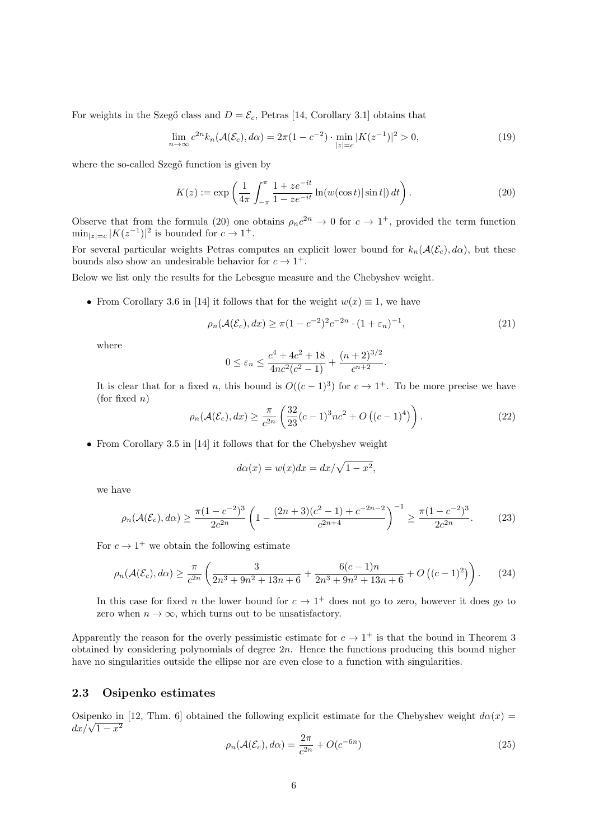For weights in the Szegő class and  $D = \mathcal{E}_c$ , Petras [14, Corollary 3.1] obtains that

$$
\lim_{n \to \infty} c^{2n} k_n(\mathcal{A}(\mathcal{E}_c), d\alpha) = 2\pi (1 - c^{-2}) \cdot \min_{|z| = c} |K(z^{-1})|^2 > 0,
$$
\n(19)

where the so-called Szegő function is given by

$$
K(z) := \exp\left(\frac{1}{4\pi} \int_{-\pi}^{\pi} \frac{1 + ze^{-it}}{1 - ze^{-it}} \ln(w(\cos t) | \sin t|) dt\right).
$$
 (20)

Observe that from the formula (20) one obtains  $\rho_n c^{2n} \to 0$  for  $c \to 1^+$ , provided the term function  $\min_{|z|=c} |K(z^{-1})|^2$  is bounded for  $c \to 1^+$ .

For several particular weights Petras computes an explicit lower bound for  $k_n(\mathcal{A}(\mathcal{E}_c), d\alpha)$ , but these bounds also show an undesirable behavior for  $c \to 1^+$ .

Below we list only the results for the Lebesgue measure and the Chebyshev weight.

• From Corollary 3.6 in [14] it follows that for the weight  $w(x) \equiv 1$ , we have

$$
\rho_n(\mathcal{A}(\mathcal{E}_c), dx) \ge \pi (1 - c^{-2})^2 c^{-2n} \cdot (1 + \varepsilon_n)^{-1},
$$
\n(21)

where

$$
0 \le \varepsilon_n \le \frac{c^4 + 4c^2 + 18}{4nc^2(c^2 - 1)} + \frac{(n+2)^{3/2}}{c^{n+2}}.
$$

It is clear that for a fixed *n*, this bound is  $O((c-1)^3)$  for  $c \to 1^+$ . To be more precise we have (for fixed *n*)

$$
\rho_n(\mathcal{A}(\mathcal{E}_c), dx) \ge \frac{\pi}{c^{2n}} \left( \frac{32}{23} (c-1)^3 n c^2 + O\left( (c-1)^4 \right) \right). \tag{22}
$$

*•* From Corollary 3.5 in [14] it follows that for the Chebyshev weight

$$
d\alpha(x) = w(x)dx = dx/\sqrt{1 - x^2},
$$

we have

$$
\rho_n(\mathcal{A}(\mathcal{E}_c), d\alpha) \ge \frac{\pi (1 - c^{-2})^3}{2c^{2n}} \left( 1 - \frac{(2n+3)(c^2 - 1) + c^{-2n - 2}}{c^{2n+4}} \right)^{-1} \ge \frac{\pi (1 - c^{-2})^3}{2c^{2n}}.
$$
 (23)

For  $c \to 1^+$  we obtain the following estimate

$$
\rho_n(\mathcal{A}(\mathcal{E}_c), d\alpha) \ge \frac{\pi}{c^{2n}} \left( \frac{3}{2n^3 + 9n^2 + 13n + 6} + \frac{6(c-1)n}{2n^3 + 9n^2 + 13n + 6} + O\left((c-1)^2\right) \right). \tag{24}
$$

In this case for fixed *n* the lower bound for  $c \to 1^+$  does not go to zero, however it does go to zero when  $n \to \infty$ , which turns out to be unsatisfactory.

Apparently the reason for the overly pessimistic estimate for  $c \to 1^+$  is that the bound in Theorem 3 obtained by considering polynomials of degree 2*n*. Hence the functions producing this bound nigher have no singularities outside the ellipse nor are even close to a function with singularities.

### **2.3 Osipenko estimates**

Osipenko in [12, Thm. 6] obtained the following explicit estimate for the Chebyshev weight  $d\alpha(x)$  $dx/\sqrt{1-x^2}$ 

$$
\rho_n(\mathcal{A}(\mathcal{E}_c), d\alpha) = \frac{2\pi}{c^{2n}} + O(c^{-6n})
$$
\n(25)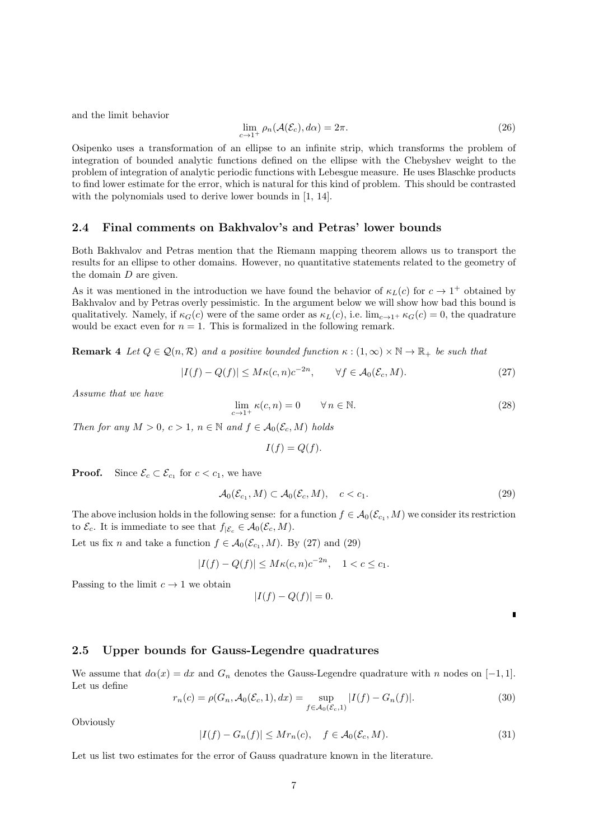and the limit behavior

$$
\lim_{c \to 1^+} \rho_n(\mathcal{A}(\mathcal{E}_c), d\alpha) = 2\pi.
$$
\n(26)

Osipenko uses a transformation of an ellipse to an infinite strip, which transforms the problem of integration of bounded analytic functions defined on the ellipse with the Chebyshev weight to the problem of integration of analytic periodic functions with Lebesgue measure. He uses Blaschke products to find lower estimate for the error, which is natural for this kind of problem. This should be contrasted with the polynomials used to derive lower bounds in [1, 14].

### **2.4 Final comments on Bakhvalov's and Petras' lower bounds**

Both Bakhvalov and Petras mention that the Riemann mapping theorem allows us to transport the results for an ellipse to other domains. However, no quantitative statements related to the geometry of the domain *D* are given.

As it was mentioned in the introduction we have found the behavior of  $\kappa_L(c)$  for  $c \to 1^+$  obtained by Bakhvalov and by Petras overly pessimistic. In the argument below we will show how bad this bound is qualitatively. Namely, if  $\kappa_G(c)$  were of the same order as  $\kappa_L(c)$ , i.e.  $\lim_{c\to 1^+} \kappa_G(c) = 0$ , the quadrature would be exact even for  $n = 1$ . This is formalized in the following remark.

**Remark 4** *Let*  $Q \in \mathcal{Q}(n, \mathcal{R})$  *and a positive bounded function*  $\kappa : (1, \infty) \times \mathbb{N} \to \mathbb{R}_+$  *be such that* 

$$
|I(f) - Q(f)| \le M\kappa(c, n)c^{-2n}, \qquad \forall f \in \mathcal{A}_0(\mathcal{E}_c, M). \tag{27}
$$

*Assume that we have*

$$
\lim_{c \to 1^+} \kappa(c, n) = 0 \qquad \forall n \in \mathbb{N}.
$$
\n(28)

*Then for any*  $M > 0$ ,  $c > 1$ ,  $n \in \mathbb{N}$  and  $f \in \mathcal{A}_0(\mathcal{E}_c, M)$  holds

 $I(f) = Q(f)$ .

**Proof.** Since  $\mathcal{E}_c \subset \mathcal{E}_{c_1}$  for  $c < c_1$ , we have

$$
\mathcal{A}_0(\mathcal{E}_{c_1}, M) \subset \mathcal{A}_0(\mathcal{E}_c, M), \quad c < c_1. \tag{29}
$$

The above inclusion holds in the following sense: for a function  $f \in \mathcal{A}_0(\mathcal{E}_{c_1}, M)$  we consider its restriction to  $\mathcal{E}_c$ . It is immediate to see that  $f_{|\mathcal{E}_c} \in \mathcal{A}_0(\mathcal{E}_c, M)$ .

Let us fix *n* and take a function  $f \in \mathcal{A}_0(\mathcal{E}_{c_1}, M)$ . By (27) and (29)

$$
|I(f) - Q(f)| \le M\kappa(c, n)c^{-2n}, \quad 1 < c \le c_1.
$$

Passing to the limit  $c \to 1$  we obtain

$$
|I(f) - Q(f)| = 0.
$$

 $\blacksquare$ 

### **2.5 Upper bounds for Gauss-Legendre quadratures**

We assume that  $d\alpha(x) = dx$  and  $G_n$  denotes the Gauss-Legendre quadrature with *n* nodes on [−1,1]. Let us define

$$
r_n(c) = \rho(G_n, \mathcal{A}_0(\mathcal{E}_c, 1), dx) = \sup_{f \in \mathcal{A}_0(\mathcal{E}_c, 1)} |I(f) - G_n(f)|.
$$
 (30)

Obviously

$$
|I(f) - G_n(f)| \le Mr_n(c), \quad f \in \mathcal{A}_0(\mathcal{E}_c, M). \tag{31}
$$

Let us list two estimates for the error of Gauss quadrature known in the literature.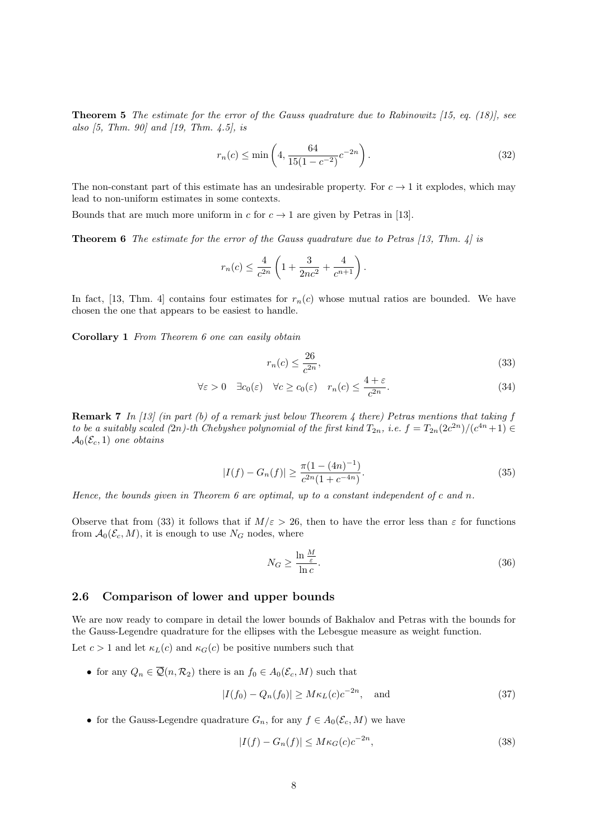**Theorem 5** *The estimate for the error of the Gauss quadrature due to Rabinowitz [15, eq. (18)], see also [5, Thm. 90] and [19, Thm. 4.5], is*

$$
r_n(c) \le \min\left(4, \frac{64}{15(1 - c^{-2})}c^{-2n}\right). \tag{32}
$$

The non-constant part of this estimate has an undesirable property. For  $c \to 1$  it explodes, which may lead to non-uniform estimates in some contexts.

Bounds that are much more uniform in *c* for  $c \to 1$  are given by Petras in [13].

**Theorem 6** *The estimate for the error of the Gauss quadrature due to Petras [13, Thm. 4] is*

$$
r_n(c) \le \frac{4}{c^{2n}} \left( 1 + \frac{3}{2nc^2} + \frac{4}{c^{n+1}} \right).
$$

In fact, [13, Thm. 4] contains four estimates for  $r_n(c)$  whose mutual ratios are bounded. We have chosen the one that appears to be easiest to handle.

**Corollary 1** *From Theorem 6 one can easily obtain*

$$
r_n(c) \le \frac{26}{c^{2n}},\tag{33}
$$

$$
\forall \varepsilon > 0 \quad \exists c_0(\varepsilon) \quad \forall c \ge c_0(\varepsilon) \quad r_n(c) \le \frac{4+\varepsilon}{c^{2n}}.
$$

**Remark 7** *In [13] (in part (b) of a remark just below Theorem 4 there) Petras mentions that taking f to be a suitably scaled (2n)-th Chebyshev polynomial of the first kind*  $T_{2n}$ , *i.e.*  $f = T_{2n}(2c^{2n})/(c^{4n}+1) \in$  $\mathcal{A}_0(\mathcal{E}_c, 1)$  *one obtains* 

$$
|I(f) - G_n(f)| \ge \frac{\pi (1 - (4n)^{-1})}{c^{2n} (1 + c^{-4n})}.
$$
\n(35)

*Hence, the bounds given in Theorem 6 are optimal, up to a constant independent of c and n.*

Observe that from (33) it follows that if  $M/\varepsilon > 26$ , then to have the error less than  $\varepsilon$  for functions from  $\mathcal{A}_0(\mathcal{E}_c, M)$ , it is enough to use  $N_G$  nodes, where

$$
N_G \ge \frac{\ln \frac{M}{\varepsilon}}{\ln c}.\tag{36}
$$

### **2.6 Comparison of lower and upper bounds**

We are now ready to compare in detail the lower bounds of Bakhalov and Petras with the bounds for the Gauss-Legendre quadrature for the ellipses with the Lebesgue measure as weight function.

Let  $c > 1$  and let  $\kappa_L(c)$  and  $\kappa_G(c)$  be positive numbers such that

• for any  $Q_n \in \overline{Q}(n, \mathcal{R}_2)$  there is an  $f_0 \in A_0(\mathcal{E}_c, M)$  such that

$$
|I(f_0) - Q_n(f_0)| \ge M\kappa_L(c)c^{-2n}, \quad \text{and} \tag{37}
$$

• for the Gauss-Legendre quadrature  $G_n$ , for any  $f \in A_0(\mathcal{E}_c, M)$  we have

$$
|I(f) - G_n(f)| \le M\kappa_G(c)c^{-2n},\tag{38}
$$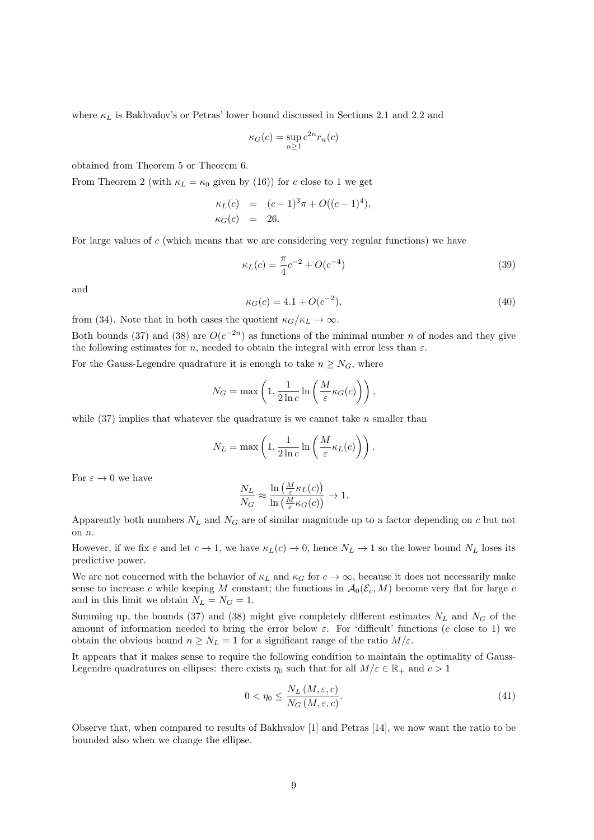where  $\kappa_L$  is Bakhvalov's or Petras' lower bound discussed in Sections 2.1 and 2.2 and

$$
\kappa_G(c) = \sup_{n \ge 1} c^{2n} r_n(c)
$$

obtained from Theorem 5 or Theorem 6.

From Theorem 2 (with  $\kappa_L = \kappa_0$  given by (16)) for *c* close to 1 we get

$$
\kappa_L(c) = (c-1)^3 \pi + O((c-1)^4), \n\kappa_G(c) = 26.
$$

For large values of *c* (which means that we are considering very regular functions) we have

$$
\kappa_L(c) = \frac{\pi}{4}c^{-2} + O(c^{-4})
$$
\n(39)

and

$$
\kappa_G(c) = 4.1 + O(c^{-2}),\tag{40}
$$

from (34). Note that in both cases the quotient  $\kappa_G/\kappa_L \to \infty$ .

Both bounds (37) and (38) are  $O(c^{-2n})$  as functions of the minimal number *n* of nodes and they give the following estimates for *n*, needed to obtain the integral with error less than  $\varepsilon$ .

For the Gauss-Legendre quadrature it is enough to take  $n \geq N_G$ , where

$$
N_G = \max\left(1, \frac{1}{2\ln c} \ln\left(\frac{M}{\varepsilon} \kappa_G(c)\right)\right),\,
$$

while (37) implies that whatever the quadrature is we cannot take *n* smaller than

$$
N_L = \max\left(1, \frac{1}{2\ln c} \ln\left(\frac{M}{\varepsilon} \kappa_L(c)\right)\right).
$$

For  $\varepsilon \to 0$  we have

$$
\frac{N_L}{N_G} \approx \frac{\ln\left(\frac{M}{\varepsilon} \kappa_L(c)\right)}{\ln\left(\frac{M}{\varepsilon} \kappa_G(c)\right)} \to 1.
$$

Apparently both numbers  $N_L$  and  $N_G$  are of similar magnitude up to a factor depending on *c* but not on *n*.

However, if we fix  $\varepsilon$  and let  $c \to 1$ , we have  $\kappa_L(c) \to 0$ , hence  $N_L \to 1$  so the lower bound  $N_L$  loses its predictive power.

We are not concerned with the behavior of  $\kappa_L$  and  $\kappa_G$  for  $c \to \infty$ , because it does not necessarily make sense to increase *c* while keeping *M* constant; the functions in  $\mathcal{A}_0(\mathcal{E}_c, M)$  become very flat for large *c* and in this limit we obtain  $N_L = N_G = 1$ .

Summing up, the bounds (37) and (38) might give completely different estimates  $N_L$  and  $N_G$  of the amount of information needed to bring the error below  $\varepsilon$ . For 'difficult' functions (*c* close to 1) we obtain the obvious bound  $n \geq N_L = 1$  for a significant range of the ratio  $M/\varepsilon$ .

It appears that it makes sense to require the following condition to maintain the optimality of Gauss-Legendre quadratures on ellipses: there exists  $\eta_0$  such that for all  $M/\varepsilon \in \mathbb{R}_+$  and  $c > 1$ 

$$
0 < \eta_0 \le \frac{N_L\left(M, \varepsilon, c\right)}{N_G\left(M, \varepsilon, c\right)}.\tag{41}
$$

Observe that, when compared to results of Bakhvalov [1] and Petras [14], we now want the ratio to be bounded also when we change the ellipse.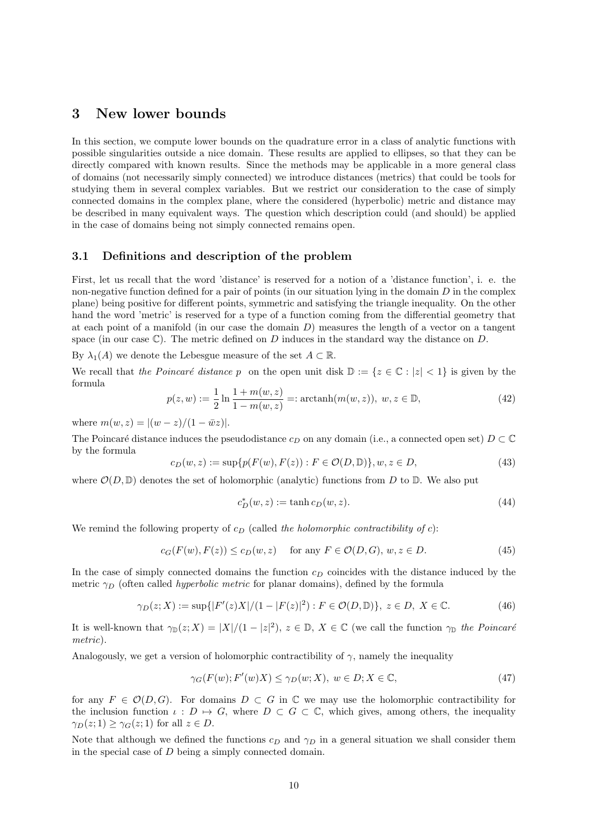### **3 New lower bounds**

In this section, we compute lower bounds on the quadrature error in a class of analytic functions with possible singularities outside a nice domain. These results are applied to ellipses, so that they can be directly compared with known results. Since the methods may be applicable in a more general class of domains (not necessarily simply connected) we introduce distances (metrics) that could be tools for studying them in several complex variables. But we restrict our consideration to the case of simply connected domains in the complex plane, where the considered (hyperbolic) metric and distance may be described in many equivalent ways. The question which description could (and should) be applied in the case of domains being not simply connected remains open.

### **3.1 Definitions and description of the problem**

First, let us recall that the word 'distance' is reserved for a notion of a 'distance function', i. e. the non-negative function defined for a pair of points (in our situation lying in the domain *D* in the complex plane) being positive for different points, symmetric and satisfying the triangle inequality. On the other hand the word 'metric' is reserved for a type of a function coming from the differential geometry that at each point of a manifold (in our case the domain *D*) measures the length of a vector on a tangent space (in our case C). The metric defined on *D* induces in the standard way the distance on *D*.

By  $\lambda_1(A)$  we denote the Lebesgue measure of the set  $A \subset \mathbb{R}$ .

We recall that *the Poincaré distance p* on the open unit disk  $\mathbb{D} := \{z \in \mathbb{C} : |z| < 1\}$  is given by the formula

$$
p(z, w) := \frac{1}{2} \ln \frac{1 + m(w, z)}{1 - m(w, z)} =: \operatorname{arctanh}(m(w, z)), \ w, z \in \mathbb{D}, \tag{42}
$$

where  $m(w, z) = |(w - z)/(1 - \bar{w}z)|$ .

The Poincaré distance induces the pseudodistance  $c_D$  on any domain (i.e., a connected open set)  $D \subset \mathbb{C}$ by the formula

$$
c_D(w, z) := \sup \{ p(F(w), F(z)) : F \in \mathcal{O}(D, \mathbb{D}) \}, w, z \in D,
$$
\n(43)

where  $\mathcal{O}(D,\mathbb{D})$  denotes the set of holomorphic (analytic) functions from D to  $\mathbb{D}$ . We also put

$$
c_D^*(w, z) := \tanh c_D(w, z). \tag{44}
$$

We remind the following property of  $c_D$  (called *the holomorphic contractibility of c*):

$$
c_G(F(w), F(z)) \le c_D(w, z) \quad \text{for any } F \in \mathcal{O}(D, G), w, z \in D.
$$
 (45)

In the case of simply connected domains the function  $c<sub>D</sub>$  coincides with the distance induced by the metric  $\gamma_D$  (often called *hyperbolic metric* for planar domains), defined by the formula

$$
\gamma_D(z;X) := \sup\{|F'(z)X|/(1-|F(z)|^2) : F \in \mathcal{O}(D,\mathbb{D})\}, z \in D, X \in \mathbb{C}.
$$
 (46)

It is well-known that  $\gamma_{\mathbb{D}}(z; X) = |X|/(1 - |z|^2), z \in \mathbb{D}, X \in \mathbb{C}$  (we call the function  $\gamma_{\mathbb{D}}$  *the Poincaré metric*).

Analogously, we get a version of holomorphic contractibility of  $\gamma$ , namely the inequality

$$
\gamma_G(F(w); F'(w)X) \le \gamma_D(w; X), \ w \in D; X \in \mathbb{C}, \tag{47}
$$

for any  $F \in \mathcal{O}(D, G)$ . For domains  $D \subset G$  in  $\mathbb C$  we may use the holomorphic contractibility for the inclusion function  $\iota : D \mapsto G$ , where  $D \subset G \subset \mathbb{C}$ , which gives, among others, the inequality *γ*<sub>*D*</sub>(*z*; 1) *≥ γ*<sub>*G*</sub>(*z*; 1) for all *z*  $\in$  *D*.

Note that although we defined the functions  $c_D$  and  $\gamma_D$  in a general situation we shall consider them in the special case of *D* being a simply connected domain.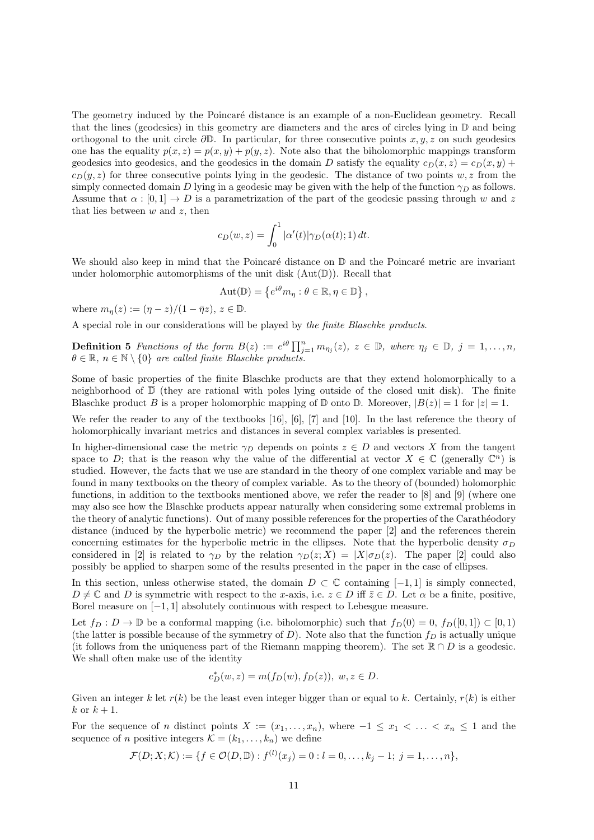The geometry induced by the Poincaré distance is an example of a non-Euclidean geometry. Recall that the lines (geodesics) in this geometry are diameters and the arcs of circles lying in  $\mathbb D$  and being orthogonal to the unit circle *∂*D. In particular, for three consecutive points *x, y, z* on such geodesics one has the equality  $p(x, z) = p(x, y) + p(y, z)$ . Note also that the biholomorphic mappings transform geodesics into geodesics, and the geodesics in the domain *D* satisfy the equality  $c_D(x, z) = c_D(x, y) + c_D(x, y)$  $c_D(y, z)$  for three consecutive points lying in the geodesic. The distance of two points  $w, z$  from the simply connected domain *D* lying in a geodesic may be given with the help of the function  $\gamma_D$  as follows. Assume that  $\alpha : [0, 1] \rightarrow D$  is a parametrization of the part of the geodesic passing through *w* and *z* that lies between *w* and *z*, then

$$
c_D(w, z) = \int_0^1 |\alpha'(t)| \gamma_D(\alpha(t); 1) dt.
$$

We should also keep in mind that the Poincaré distance on  $\mathbb D$  and the Poincaré metric are invariant under holomorphic automorphisms of the unit disk  $(Aut(\mathbb{D}))$ . Recall that

$$
Aut(\mathbb{D}) = \left\{ e^{i\theta} m_{\eta} : \theta \in \mathbb{R}, \eta \in \mathbb{D} \right\},\
$$

where  $m_{\eta}(z) := (\eta - z)/(1 - \bar{\eta}z), z \in \mathbb{D}$ .

A special role in our considerations will be played by *the finite Blaschke products*.

**Definition 5** Functions of the form  $B(z) := e^{i\theta} \prod_{j=1}^n m_{\eta_j}(z)$ ,  $z \in \mathbb{D}$ , where  $\eta_j \in \mathbb{D}$ ,  $j = 1, ..., n$ ,  $\theta \in \mathbb{R}, n \in \mathbb{N} \setminus \{0\}$  *are called finite Blaschke products.* 

Some of basic properties of the finite Blaschke products are that they extend holomorphically to a neighborhood of  $\overline{D}$  (they are rational with poles lying outside of the closed unit disk). The finite Blaschke product *B* is a proper holomorphic mapping of  $\mathbb D$  onto  $\mathbb D$ . Moreover,  $|B(z)| = 1$  for  $|z| = 1$ .

We refer the reader to any of the textbooks [16], [6], [7] and [10]. In the last reference the theory of holomorphically invariant metrics and distances in several complex variables is presented.

In higher-dimensional case the metric  $\gamma_D$  depends on points  $z \in D$  and vectors X from the tangent space to *D*; that is the reason why the value of the differential at vector  $X \in \mathbb{C}$  (generally  $\mathbb{C}^n$ ) is studied. However, the facts that we use are standard in the theory of one complex variable and may be found in many textbooks on the theory of complex variable. As to the theory of (bounded) holomorphic functions, in addition to the textbooks mentioned above, we refer the reader to [8] and [9] (where one may also see how the Blaschke products appear naturally when considering some extremal problems in the theory of analytic functions). Out of many possible references for the properties of the Carathéodory distance (induced by the hyperbolic metric) we recommend the paper [2] and the references therein concerning estimates for the hyperbolic metric in the ellipses. Note that the hyperbolic density  $\sigma_D$ considered in [2] is related to  $\gamma_D$  by the relation  $\gamma_D(z; X) = |X|\sigma_D(z)$ . The paper [2] could also possibly be applied to sharpen some of the results presented in the paper in the case of ellipses.

In this section, unless otherwise stated, the domain  $D \subset \mathbb{C}$  containing [−1, 1] is simply connected,  $D \neq \mathbb{C}$  and *D* is symmetric with respect to the *x*-axis, i.e.  $z \in D$  iff  $\overline{z} \in D$ . Let  $\alpha$  be a finite, positive, Borel measure on [*−*1*,* 1] absolutely continuous with respect to Lebesgue measure.

Let  $f_D: D \to \mathbb{D}$  be a conformal mapping (i.e. biholomorphic) such that  $f_D(0) = 0$ ,  $f_D([0,1]) \subset [0,1)$ (the latter is possible because of the symmetry of *D*). Note also that the function  $f<sub>D</sub>$  is actually unique (it follows from the uniqueness part of the Riemann mapping theorem). The set R *∩ D* is a geodesic. We shall often make use of the identity

$$
c_D^*(w,z)=m(f_D(w),f_D(z)),\;w,z\in D.
$$

Given an integer *k* let  $r(k)$  be the least even integer bigger than or equal to *k*. Certainly,  $r(k)$  is either  $k \text{ or } k+1$ .

For the sequence of *n* distinct points  $X := (x_1, \ldots, x_n)$ , where  $-1 \le x_1 < \ldots < x_n \le 1$  and the sequence of *n* positive integers  $\mathcal{K} = (k_1, \ldots, k_n)$  we define

$$
\mathcal{F}(D; X; \mathcal{K}) := \{ f \in \mathcal{O}(D, \mathbb{D}) : f^{(l)}(x_j) = 0 : l = 0, \dots, k_j - 1; \ j = 1, \dots, n \},
$$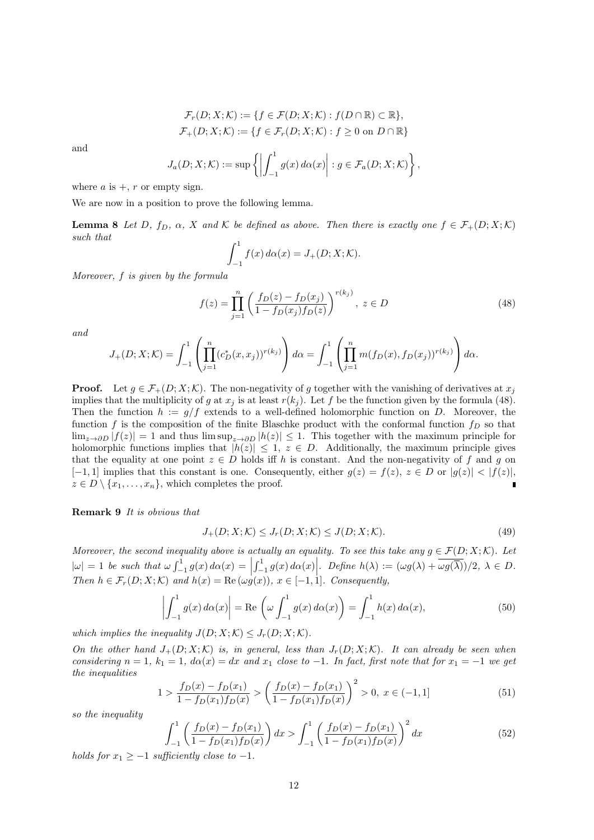$$
\mathcal{F}_r(D; X; \mathcal{K}) := \{ f \in \mathcal{F}(D; X; \mathcal{K}) : f(D \cap \mathbb{R}) \subset \mathbb{R} \},
$$
  

$$
\mathcal{F}_+(D; X; \mathcal{K}) := \{ f \in \mathcal{F}_r(D; X; \mathcal{K}) : f \ge 0 \text{ on } D \cap \mathbb{R} \}
$$

and

$$
J_a(D; X; \mathcal{K}) := \sup \left\{ \left| \int_{-1}^1 g(x) \, d\alpha(x) \right| : g \in \mathcal{F}_a(D; X; \mathcal{K}) \right\},\,
$$

where  $a$  is  $+$ ,  $r$  or empty sign.

We are now in a position to prove the following lemma.

**Lemma 8** Let D,  $f_D$ ,  $\alpha$ , X and K be defined as above. Then there is exactly one  $f \in \mathcal{F}_+(D; X; \mathcal{K})$ *such that*

$$
\int_{-1}^{1} f(x) \, d\alpha(x) = J_{+}(D; X; \mathcal{K}).
$$

*Moreover, f is given by the formula*

$$
f(z) = \prod_{j=1}^{n} \left( \frac{f_D(z) - f_D(x_j)}{1 - f_D(x_j)f_D(z)} \right)^{r(k_j)}, \ z \in D \tag{48}
$$

*and*

$$
J_{+}(D; X; \mathcal{K}) = \int_{-1}^{1} \left( \prod_{j=1}^{n} (c_{D}^{*}(x, x_{j}))^{r(k_{j})} \right) d\alpha = \int_{-1}^{1} \left( \prod_{j=1}^{n} m(f_{D}(x), f_{D}(x_{j}))^{r(k_{j})} \right) d\alpha.
$$

**Proof.** Let  $q \in \mathcal{F}_+(D; X; \mathcal{K})$ . The non-negativity of *g* together with the vanishing of derivatives at  $x_j$ implies that the multiplicity of *g* at  $x_j$  is at least  $r(k_j)$ . Let *f* be the function given by the formula (48). Then the function  $h := g/f$  extends to a well-defined holomorphic function on *D*. Moreover, the function  $f$  is the composition of the finite Blaschke product with the conformal function  $f<sub>D</sub>$  so that lim<sub>*z*→</sub> $\partial D |f(z)| = 1$  and thus lim sup<sub>*z*→ $\partial D |h(z)| \leq 1$ . This together with the maximum principle for</sub> holomorphic functions implies that  $|h(z)| \leq 1$ ,  $z \in D$ . Additionally, the maximum principle gives that the equality at one point  $z \in D$  holds iff *h* is constant. And the non-negativity of *f* and *g* on  $[-1,1]$  implies that this constant is one. Consequently, either  $g(z) = f(z), z \in D$  or  $|g(z)| < |f(z)|$ ,  $z \in D \setminus \{x_1, \ldots, x_n\}$ , which completes the proof.

**Remark 9** *It is obvious that*

$$
J_{+}(D;X;K) \le J_{r}(D;X;K) \le J(D;X;K). \tag{49}
$$

*Moreover, the second inequality above is actually an equality. To see this take any*  $g \in \mathcal{F}(D; X; \mathcal{K})$ . Let  $|\omega| = 1$  be such that  $\omega \int_{-1}^{1} g(x) d\alpha(x) = \left| \int_{-1}^{1} g(x) d\alpha(x) \right|$ . Define  $h(\lambda) := (\omega g(\lambda) + \overline{\omega g(\lambda)})/2$ ,  $\lambda \in D$ . *Then*  $h \in \mathcal{F}_r(D; X; \mathcal{K})$  *and*  $h(x) = \text{Re}(\omega g(x))$ ,  $x \in [-1, 1]$ *. Consequently,* 

$$
\left| \int_{-1}^{1} g(x) d\alpha(x) \right| = \text{Re} \left( \omega \int_{-1}^{1} g(x) d\alpha(x) \right) = \int_{-1}^{1} h(x) d\alpha(x), \tag{50}
$$

*which implies the inequality*  $J(D; X; \mathcal{K}) \leq J_r(D; X; \mathcal{K})$ .

*On the other hand*  $J_+(D; X; \mathcal{K})$  *is, in general, less than*  $J_r(D; X; \mathcal{K})$ *. It can already be seen when considering*  $n = 1$ ,  $k_1 = 1$ ,  $d\alpha(x) = dx$  *and*  $x_1$  *close to*  $-1$ *. In fact, first note that for*  $x_1 = -1$  *we get the inequalities*

$$
1 > \frac{f_D(x) - f_D(x_1)}{1 - f_D(x_1)f_D(x)} > \left(\frac{f_D(x) - f_D(x_1)}{1 - f_D(x_1)f_D(x)}\right)^2 > 0, \ x \in (-1, 1]
$$
\n
$$
(51)
$$

*so the inequality*

$$
\int_{-1}^{1} \left( \frac{f_D(x) - f_D(x_1)}{1 - f_D(x_1)f_D(x)} \right) dx > \int_{-1}^{1} \left( \frac{f_D(x) - f_D(x_1)}{1 - f_D(x_1)f_D(x)} \right)^2 dx \tag{52}
$$

*holds for*  $x_1 \geq -1$  *sufficiently close to*  $-1$ *.*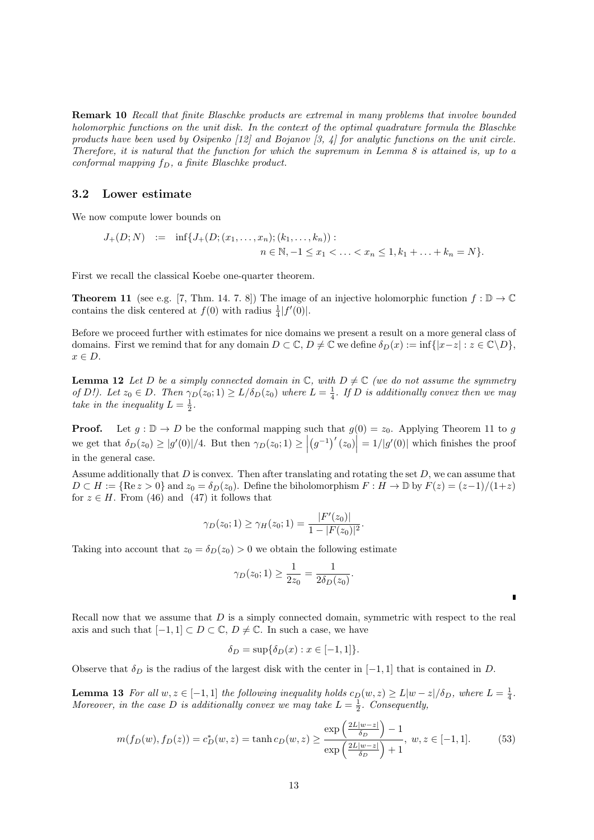**Remark 10** *Recall that finite Blaschke products are extremal in many problems that involve bounded holomorphic functions on the unit disk. In the context of the optimal quadrature formula the Blaschke products have been used by Osipenko [12] and Bojanov [3, 4] for analytic functions on the unit circle. Therefore, it is natural that the function for which the supremum in Lemma 8 is attained is, up to a conformal mapping fD, a finite Blaschke product.*

#### **3.2 Lower estimate**

We now compute lower bounds on

$$
J_{+}(D;N) := \inf \{ J_{+}(D;(x_{1},...,x_{n});(k_{1},...,k_{n})) : n \in \mathbb{N}, -1 \le x_{1} < ... < x_{n} \le 1, k_{1} + ... + k_{n} = N \}.
$$

First we recall the classical Koebe one-quarter theorem.

**Theorem 11** (see e.g. [7, Thm. 14. 7. 8]) The image of an injective holomorphic function  $f : \mathbb{D} \to \mathbb{C}$ contains the disk centered at  $f(0)$  with radius  $\frac{1}{4}|f'(0)|$ .

Before we proceed further with estimates for nice domains we present a result on a more general class of domains. First we remind that for any domain  $D \subset \mathbb{C}$ ,  $D \neq \mathbb{C}$  we define  $\delta_D(x) := \inf\{|x - z| : z \in \mathbb{C} \setminus D\}$ , *x ∈ D*.

**Lemma 12** Let *D* be a simply connected domain in  $\mathbb{C}$ , with  $D \neq \mathbb{C}$  (we do not assume the symmetry of D!). Let  $z_0 \in D$ . Then  $\gamma_D(z_0; 1) \ge L/\delta_D(z_0)$  where  $L = \frac{1}{4}$ . If D is additionally convex then we may take in the inequality  $L = \frac{1}{2}$ .

**Proof.** Let  $g : \mathbb{D} \to D$  be the conformal mapping such that  $g(0) = z_0$ . Applying Theorem 11 to *g* we get that  $\delta_D(z_0) \ge |g'(0)|/4$ . But then  $\gamma_D(z_0; 1) \ge |$  $(g^{-1})'(z_0)$  =  $1/|g'(0)|$  which finishes the proof in the general case.

Assume additionally that *D* is convex. Then after translating and rotating the set *D*, we can assume that  $D \subset H := \{ \text{Re } z > 0 \}$  and  $z_0 = \delta_D(z_0)$ . Define the biholomorphism  $F : H \to \mathbb{D}$  by  $F(z) = (z-1)/(1+z)$ for  $z \in H$ . From (46) and (47) it follows that

$$
\gamma_D(z_0; 1) \ge \gamma_H(z_0; 1) = \frac{|F'(z_0)|}{1 - |F(z_0)|^2}.
$$

Taking into account that  $z_0 = \delta_D(z_0) > 0$  we obtain the following estimate

$$
\gamma_D(z_0; 1) \ge \frac{1}{2z_0} = \frac{1}{2\delta_D(z_0)}.
$$

Recall now that we assume that *D* is a simply connected domain, symmetric with respect to the real axis and such that  $[-1, 1] \subset D \subset \mathbb{C}$ ,  $D \neq \mathbb{C}$ . In such a case, we have

$$
\delta_D = \sup \{ \delta_D(x) : x \in [-1, 1] \}.
$$

Observe that  $\delta_D$  is the radius of the largest disk with the center in  $[-1, 1]$  that is contained in *D*.

**Lemma 13** For all  $w, z \in [-1,1]$  the following inequality holds  $c_D(w, z) \ge L|w-z|/\delta_D$ , where  $L = \frac{1}{4}$ . Moreover, in the case D is additionally convex we may take  $L = \frac{1}{2}$ . Consequently,

$$
m(f_D(w), f_D(z)) = c_D^*(w, z) = \tanh c_D(w, z) \ge \frac{\exp\left(\frac{2L|w-z|}{\delta_D}\right) - 1}{\exp\left(\frac{2L|w-z|}{\delta_D}\right) + 1}, \ w, z \in [-1, 1].
$$
 (53)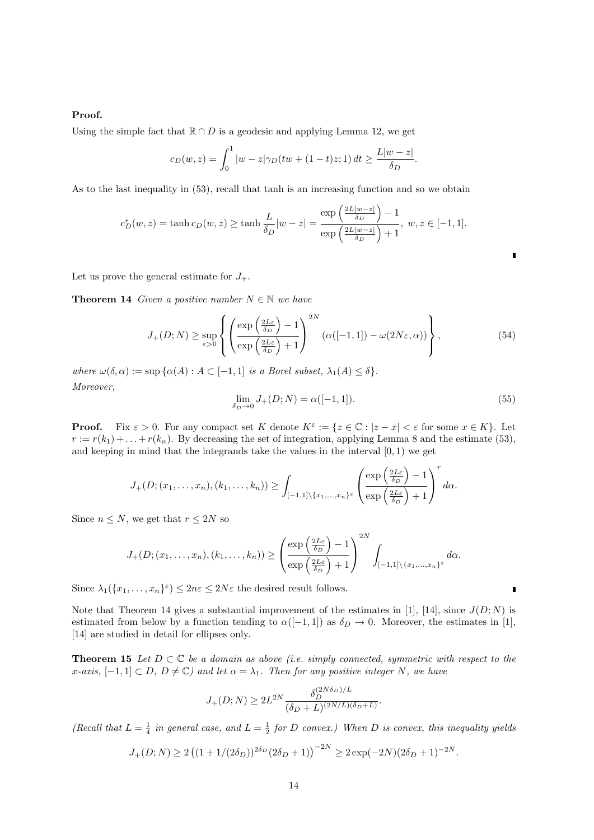### **Proof.**

Using the simple fact that  $\mathbb{R} \cap D$  is a geodesic and applying Lemma 12, we get

$$
c_D(w, z) = \int_0^1 |w - z| \gamma_D(tw + (1 - t)z; 1) dt \ge \frac{L|w - z|}{\delta_D}.
$$

As to the last inequality in (53), recall that tanh is an increasing function and so we obtain

$$
c_D^*(w, z) = \tanh c_D(w, z) \ge \tanh \frac{L}{\delta_D}|w - z| = \frac{\exp\left(\frac{2L|w - z|}{\delta_D}\right) - 1}{\exp\left(\frac{2L|w - z|}{\delta_D}\right) + 1}, \ w, z \in [-1, 1].
$$

Let us prove the general estimate for  $J_+$ .

**Theorem 14** *Given a positive number*  $N \in \mathbb{N}$  *we have* 

$$
J_{+}(D;N) \ge \sup_{\varepsilon>0} \left\{ \left( \frac{\exp\left(\frac{2L\varepsilon}{\delta_D}\right) - 1}{\exp\left(\frac{2L\varepsilon}{\delta_D}\right) + 1} \right)^{2N} \left( \alpha([-1,1]) - \omega(2N\varepsilon, \alpha) \right) \right\},\tag{54}
$$

*where*  $\omega(\delta, \alpha) := \sup \{ \alpha(A) : A \subset [-1, 1] \text{ is a Borel subset, } \lambda_1(A) \leq \delta \}.$ *Moreover,*

$$
\lim_{\delta_D \to 0} J_+(D;N) = \alpha([-1,1]).
$$
\n(55)

п

П

2*N*

**Proof.** Fix  $\varepsilon > 0$ . For any compact set *K* denote  $K^{\varepsilon} := \{z \in \mathbb{C} : |z - x| < \varepsilon \text{ for some } x \in K\}$ . Let  $r := r(k_1) + \ldots + r(k_n)$ . By decreasing the set of integration, applying Lemma 8 and the estimate (53), and keeping in mind that the integrands take the values in the interval  $[0,1)$  we get

$$
J_{+}(D;(x_1,\ldots,x_n),(k_1,\ldots,k_n))\geq \int_{[-1,1]\setminus\{x_1,\ldots,x_n\}^{\varepsilon}}\left(\frac{\exp\left(\frac{2L\varepsilon}{\delta_D}\right)-1}{\exp\left(\frac{2L\varepsilon}{\delta_D}\right)+1}\right)^{r}d\alpha.
$$

Since  $n \leq N$ , we get that  $r \leq 2N$  so

$$
J_{+}(D;(x_1,\ldots,x_n),(k_1,\ldots,k_n))\geq \left(\frac{\exp\left(\frac{2L\varepsilon}{\delta_D}\right)-1}{\exp\left(\frac{2L\varepsilon}{\delta_D}\right)+1}\right)^{2N}\int_{[-1,1]\setminus\{x_1,\ldots,x_n\}^{\varepsilon}}d\alpha.
$$

Since  $\lambda_1(\{x_1, \ldots, x_n\}^{\varepsilon}) \leq 2n\varepsilon \leq 2N\varepsilon$  the desired result follows.

Note that Theorem 14 gives a substantial improvement of the estimates in [1], [14], since  $J(D; N)$  is estimated from below by a function tending to  $\alpha([-1,1])$  as  $\delta_D \to 0$ . Moreover, the estimates in [1], [14] are studied in detail for ellipses only.

**Theorem 15** *Let*  $D \subset \mathbb{C}$  *be a domain as above (i.e. simply connected, symmetric with respect to the x*<sup>*-axis,*  $[-1, 1] \subset D$ *,*  $D \neq \mathbb{C}$ *)* and let  $\alpha = \lambda_1$ *. Then for any positive integer N, we have*</sup>

$$
J_{+}(D;N) \ge 2L^{2N} \frac{\delta_D^{(2N\delta_D)/L}}{(\delta_D + L)^{(2N/L)(\delta_D + L)}}.
$$

*(Recall that*  $L = \frac{1}{4}$  *in general case, and*  $L = \frac{1}{2}$  *for D convex.) When D is convex, this inequality yields* 

$$
J_{+}(D;N) \ge 2\left((1+1/(2\delta_{D}))^{2\delta_{D}}(2\delta_{D}+1)\right)^{-2N} \ge 2\exp(-2N)(2\delta_{D}+1)^{-2N}.
$$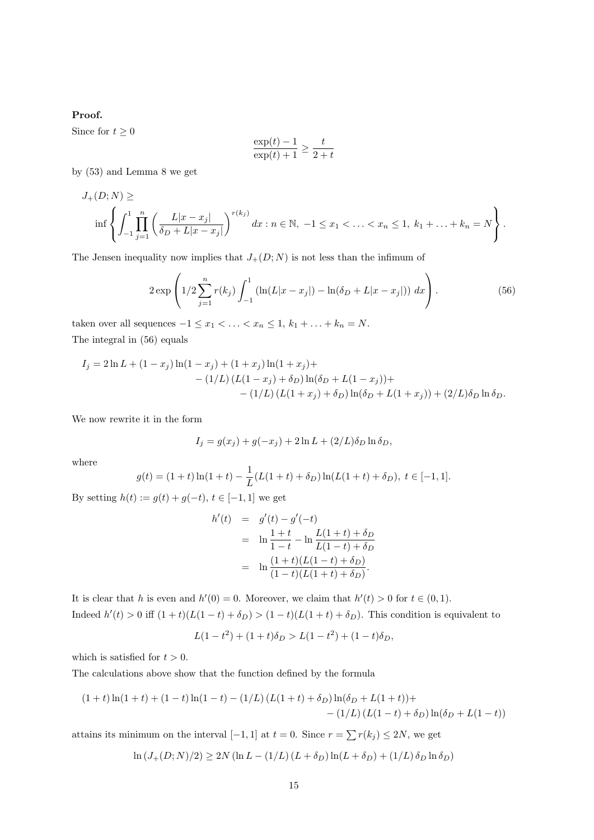### **Proof.**

Since for  $t \geq 0$ 

$$
\frac{\exp(t) - 1}{\exp(t) + 1} \ge \frac{t}{2 + t}
$$

by (53) and Lemma 8 we get

$$
J_{+}(D;N) \ge \inf \left\{ \int_{-1}^{1} \prod_{j=1}^{n} \left( \frac{L|x-x_j|}{\delta_D + L|x-x_j|} \right)^{r(k_j)} dx : n \in \mathbb{N}, -1 \le x_1 < \ldots < x_n \le 1, k_1 + \ldots + k_n = N \right\}.
$$

The Jensen inequality now implies that  $J_+(D; N)$  is not less than the infimum of

$$
2 \exp \left( 1/2 \sum_{j=1}^{n} r(k_j) \int_{-1}^{1} \left( \ln(L|x - x_j|) - \ln(\delta_D + L|x - x_j|) \right) dx \right). \tag{56}
$$

taken over all sequences  $-1 \le x_1 < \ldots < x_n \le 1, k_1 + \ldots + k_n = N$ . The integral in (56) equals

$$
I_j = 2\ln L + (1 - x_j)\ln(1 - x_j) + (1 + x_j)\ln(1 + x_j) +
$$
  
 
$$
- (1/L) (L(1 - x_j) + \delta_D)\ln(\delta_D + L(1 - x_j)) +
$$
  
 
$$
- (1/L) (L(1 + x_j) + \delta_D)\ln(\delta_D + L(1 + x_j)) + (2/L)\delta_D\ln\delta_D.
$$

We now rewrite it in the form

$$
I_j = g(x_j) + g(-x_j) + 2\ln L + (2/L)\delta_D \ln \delta_D,
$$

where

$$
g(t) = (1+t)\ln(1+t) - \frac{1}{L}(L(1+t) + \delta_D)\ln(L(1+t) + \delta_D), \ t \in [-1,1].
$$

By setting  $h(t) := g(t) + g(-t)$ ,  $t \in [-1, 1]$  we get

$$
h'(t) = g'(t) - g'(-t)
$$
  
=  $\ln \frac{1+t}{1-t} - \ln \frac{L(1+t) + \delta_D}{L(1-t) + \delta_D}$   
=  $\ln \frac{(1+t)(L(1-t) + \delta_D)}{(1-t)(L(1+t) + \delta_D)}$ .

It is clear that *h* is even and  $h'(0) = 0$ . Moreover, we claim that  $h'(t) > 0$  for  $t \in (0,1)$ . Indeed  $h'(t) > 0$  iff  $(1 + t)(L(1 - t) + \delta_D) > (1 - t)(L(1 + t) + \delta_D)$ . This condition is equivalent to

$$
L(1-t^2) + (1+t)\delta_D > L(1-t^2) + (1-t)\delta_D,
$$

which is satisfied for  $t > 0$ .

The calculations above show that the function defined by the formula

$$
(1+t)\ln(1+t) + (1-t)\ln(1-t) - (1/L)(L(1+t) + \delta_D)\ln(\delta_D + L(1+t)) +
$$
  
- (1/L)(L(1-t) + \delta\_D)\ln(\delta\_D + L(1-t))

attains its minimum on the interval  $[-1, 1]$  at  $t = 0$ . Since  $r = \sum r(k_j) \leq 2N$ , we get

$$
\ln (J_+(D;N)/2) \ge 2N (\ln L - (1/L) (L + \delta_D) \ln(L + \delta_D) + (1/L) \delta_D \ln \delta_D)
$$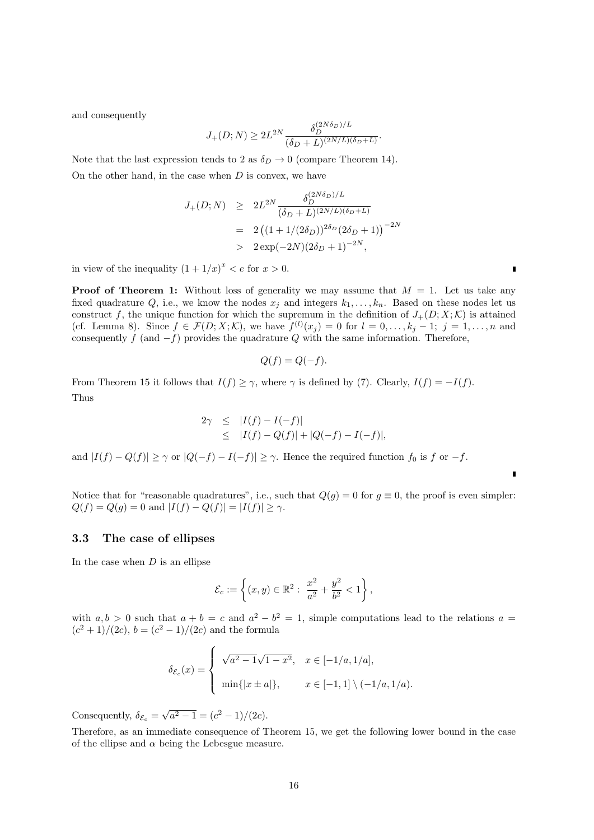and consequently

$$
J_{+}(D;N) \ge 2L^{2N} \frac{\delta_D^{(2N\delta_D)/L}}{(\delta_D + L)^{(2N/L)(\delta_D + L)}}.
$$

Note that the last expression tends to 2 as  $\delta_D \rightarrow 0$  (compare Theorem 14). On the other hand, in the case when *D* is convex, we have

$$
J_{+}(D;N) \ge 2L^{2N} \frac{\delta_D^{(2N\delta_D)/L}}{(\delta_D + L)^{(2N/L)(\delta_D + L)}}
$$
  
=  $2((1 + 1/(2\delta_D))^{2\delta_D}(2\delta_D + 1))^{-2N}$   
>  $2 \exp(-2N)(2\delta_D + 1)^{-2N}$ ,

in view of the inequality  $(1 + 1/x)^x < e$  for  $x > 0$ .

**Proof of Theorem 1:** Without loss of generality we may assume that  $M = 1$ . Let us take any fixed quadrature  $Q$ , i.e., we know the nodes  $x_j$  and integers  $k_1, \ldots, k_n$ . Based on these nodes let us construct f, the unique function for which the supremum in the definition of  $J_{+}(D; X; \mathcal{K})$  is attained (cf. Lemma 8). Since  $f \in \mathcal{F}(D; X; \mathcal{K})$ , we have  $f^{(l)}(x_j) = 0$  for  $l = 0, \ldots, k_j - 1; j = 1, \ldots, n$  and consequently *f* (and *−f*) provides the quadrature *Q* with the same information. Therefore,

$$
Q(f) = Q(-f).
$$

From Theorem 15 it follows that  $I(f) \geq \gamma$ , where  $\gamma$  is defined by (7). Clearly,  $I(f) = -I(f)$ . Thus

$$
2\gamma \leq |I(f) - I(-f)|
$$
  
 
$$
\leq |I(f) - Q(f)| + |Q(-f) - I(-f)|,
$$

and  $|I(f) - Q(f)| \ge \gamma$  or  $|Q(-f) - I(-f)| \ge \gamma$ . Hence the required function  $f_0$  is f or  $-f$ .

Notice that for "reasonable quadratures", i.e., such that  $Q(g) = 0$  for  $g \equiv 0$ , the proof is even simpler:  $Q(f) = Q(g) = 0$  and  $|I(f) - Q(f)| = |I(f)| \ge \gamma$ .

#### **3.3 The case of ellipses**

In the case when *D* is an ellipse

$$
\mathcal{E}_c := \left\{ (x, y) \in \mathbb{R}^2 : \frac{x^2}{a^2} + \frac{y^2}{b^2} < 1 \right\},\,
$$

with  $a, b > 0$  such that  $a + b = c$  and  $a^2 - b^2 = 1$ , simple computations lead to the relations  $a =$  $(c^2 + 1)/(2c)$ ,  $b = (c^2 - 1)/(2c)$  and the formula

$$
\delta_{\mathcal{E}_c}(x) = \begin{cases}\n\sqrt{a^2 - 1}\sqrt{1 - x^2}, & x \in [-1/a, 1/a], \\
\min\{|x \pm a|\}, & x \in [-1, 1] \setminus (-1/a, 1/a).\n\end{cases}
$$

Consequently,  $\delta_{\mathcal{E}_c} = \sqrt{a^2 - 1} = (c^2 - 1)/(2c)$ .

Therefore, as an immediate consequence of Theorem 15, we get the following lower bound in the case of the ellipse and  $\alpha$  being the Lebesgue measure.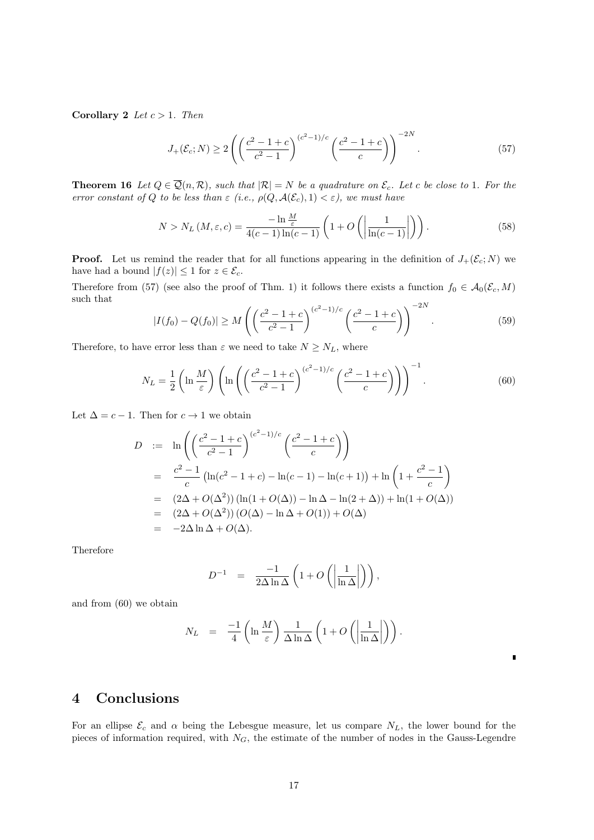**Corollary 2** *Let*  $c > 1$ *. Then* 

$$
J_{+}(\mathcal{E}_{c};N) \ge 2\left(\left(\frac{c^{2}-1+c}{c^{2}-1}\right)^{(c^{2}-1)/c}\left(\frac{c^{2}-1+c}{c}\right)\right)^{-2N}.\tag{57}
$$

**Theorem 16** Let  $Q \in \overline{Q}(n, R)$ , such that  $|R| = N$  be a quadrature on  $\mathcal{E}_c$ *. Let c* be close to 1*. For the error constant of Q to be less than*  $\varepsilon$  *(i.e.,*  $\rho(Q, \mathcal{A}(\mathcal{E}_c), 1) < \varepsilon$ *), we must have* 

$$
N > N_L(M, \varepsilon, c) = \frac{-\ln \frac{M}{\varepsilon}}{4(c-1)\ln(c-1)} \left(1 + O\left(\left|\frac{1}{\ln(c-1)}\right|\right)\right). \tag{58}
$$

**Proof.** Let us remind the reader that for all functions appearing in the definition of  $J_+(\mathcal{E}_c; N)$  we have had a bound  $|f(z)| \leq 1$  for  $z \in \mathcal{E}_c$ .

Therefore from (57) (see also the proof of Thm. 1) it follows there exists a function  $f_0 \in \mathcal{A}_0(\mathcal{E}_c, M)$ such that

$$
|I(f_0) - Q(f_0)| \ge M \left( \left( \frac{c^2 - 1 + c}{c^2 - 1} \right)^{(c^2 - 1)/c} \left( \frac{c^2 - 1 + c}{c} \right) \right)^{-2N}.
$$
 (59)

Therefore, to have error less than  $\varepsilon$  we need to take  $N \ge N_L$ , where

$$
N_L = \frac{1}{2} \left( \ln \frac{M}{\varepsilon} \right) \left( \ln \left( \left( \frac{c^2 - 1 + c}{c^2 - 1} \right)^{(c^2 - 1)/c} \left( \frac{c^2 - 1 + c}{c} \right) \right) \right)^{-1} . \tag{60}
$$

Let  $\Delta = c - 1$ . Then for  $c \to 1$  we obtain

$$
D := \ln \left( \left( \frac{c^2 - 1 + c}{c^2 - 1} \right)^{(c^2 - 1)/c} \left( \frac{c^2 - 1 + c}{c} \right) \right)
$$
  
=  $\frac{c^2 - 1}{c} \left( \ln(c^2 - 1 + c) - \ln(c - 1) - \ln(c + 1) \right) + \ln \left( 1 + \frac{c^2 - 1}{c} \right)$   
=  $(2\Delta + O(\Delta^2)) (\ln(1 + O(\Delta)) - \ln \Delta - \ln(2 + \Delta)) + \ln(1 + O(\Delta))$   
=  $(2\Delta + O(\Delta^2)) (O(\Delta) - \ln \Delta + O(1)) + O(\Delta)$   
=  $-2\Delta \ln \Delta + O(\Delta).$ 

Therefore

$$
D^{-1} = \frac{-1}{2\Delta \ln \Delta} \left( 1 + O\left( \left| \frac{1}{\ln \Delta} \right| \right) \right),
$$

and from (60) we obtain

$$
N_L = \frac{-1}{4} \left( \ln \frac{M}{\varepsilon} \right) \frac{1}{\Delta \ln \Delta} \left( 1 + O\left( \left| \frac{1}{\ln \Delta} \right| \right) \right).
$$

 $\blacksquare$ 

# **4 Conclusions**

For an ellipse  $\mathcal{E}_c$  and  $\alpha$  being the Lebesgue measure, let us compare  $N_L$ , the lower bound for the pieces of information required, with *NG*, the estimate of the number of nodes in the Gauss-Legendre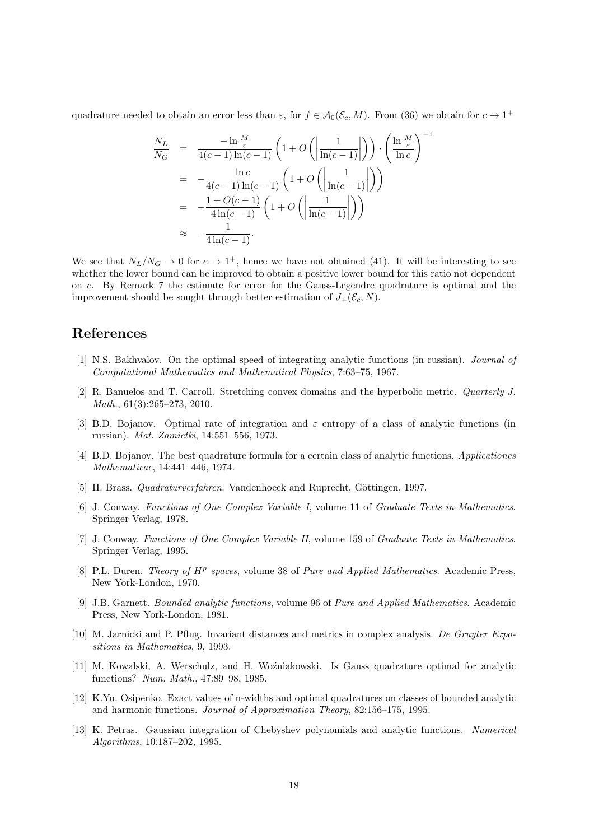quadrature needed to obtain an error less than  $\varepsilon$ , for  $f \in \mathcal{A}_0(\mathcal{E}_c, M)$ . From (36) we obtain for  $c \to 1^+$ 

$$
\frac{N_L}{N_G} = \frac{-\ln\frac{M}{\varepsilon}}{4(c-1)\ln(c-1)} \left(1 + O\left(\left|\frac{1}{\ln(c-1)}\right|\right)\right) \cdot \left(\frac{\ln\frac{M}{\varepsilon}}{\ln c}\right)^{-1}
$$
\n
$$
= -\frac{\ln c}{4(c-1)\ln(c-1)} \left(1 + O\left(\left|\frac{1}{\ln(c-1)}\right|\right)\right)
$$
\n
$$
= -\frac{1 + O(c-1)}{4\ln(c-1)} \left(1 + O\left(\left|\frac{1}{\ln(c-1)}\right|\right)\right)
$$
\n
$$
\approx -\frac{1}{4\ln(c-1)}.
$$

We see that  $N_L/N_G \rightarrow 0$  for  $c \rightarrow 1^+$ , hence we have not obtained (41). It will be interesting to see whether the lower bound can be improved to obtain a positive lower bound for this ratio not dependent on *c*. By Remark 7 the estimate for error for the Gauss-Legendre quadrature is optimal and the improvement should be sought through better estimation of  $J_+(\mathcal{E}_c, N)$ .

### **References**

- [1] N.S. Bakhvalov. On the optimal speed of integrating analytic functions (in russian). *Journal of Computational Mathematics and Mathematical Physics*, 7:63–75, 1967.
- [2] R. Banuelos and T. Carroll. Stretching convex domains and the hyperbolic metric. *Quarterly J. Math.*, 61(3):265–273, 2010.
- [3] B.D. Bojanov. Optimal rate of integration and *ε*–entropy of a class of analytic functions (in russian). *Mat. Zamietki*, 14:551–556, 1973.
- [4] B.D. Bojanov. The best quadrature formula for a certain class of analytic functions. *Applicationes Mathematicae*, 14:441–446, 1974.
- [5] H. Brass. *Quadraturverfahren*. Vandenhoeck and Ruprecht, Göttingen, 1997.
- [6] J. Conway. *Functions of One Complex Variable I*, volume 11 of *Graduate Texts in Mathematics*. Springer Verlag, 1978.
- [7] J. Conway. *Functions of One Complex Variable II*, volume 159 of *Graduate Texts in Mathematics*. Springer Verlag, 1995.
- [8] P.L. Duren. *Theory of H<sup>p</sup> spaces*, volume 38 of *Pure and Applied Mathematics*. Academic Press, New York-London, 1970.
- [9] J.B. Garnett. *Bounded analytic functions*, volume 96 of *Pure and Applied Mathematics*. Academic Press, New York-London, 1981.
- [10] M. Jarnicki and P. Pflug. Invariant distances and metrics in complex analysis. *De Gruyter Expositions in Mathematics*, 9, 1993.
- [11] M. Kowalski, A. Werschulz, and H. Woźniakowski. Is Gauss quadrature optimal for analytic functions? *Num. Math.*, 47:89–98, 1985.
- [12] K.Yu. Osipenko. Exact values of n-widths and optimal quadratures on classes of bounded analytic and harmonic functions. *Journal of Approximation Theory*, 82:156–175, 1995.
- [13] K. Petras. Gaussian integration of Chebyshev polynomials and analytic functions. *Numerical Algorithms*, 10:187–202, 1995.